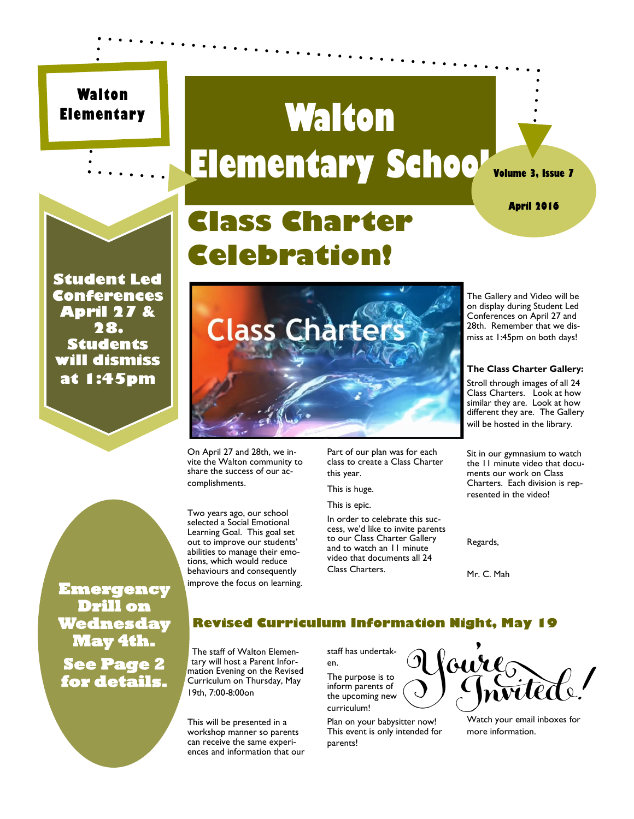#### **Walton Elementary**

### **Walton Elementary School**



**April 2016**

**Student Led Conferences April 27 & 28. Students will dismiss at 1:45pm**

### **Class Charter Celebration!**



On April 27 and 28th, we invite the Walton community to share the success of our accomplishments.

Two years ago, our school selected a Social Emotional Learning Goal. This goal set out to improve our students' abilities to manage their emotions, which would reduce behaviours and consequently improve the focus on learning. Part of our plan was for each class to create a Class Charter this year.

This is huge. This is epic.

In order to celebrate this success, we'd like to invite parents to our Class Charter Gallery and to watch an 11 minute video that documents all 24 Class Charters.

The Gallery and Video will be on display during Student Led Conferences on April 27 and 28th. Remember that we dismiss at 1:45pm on both days!

#### **The Class Charter Gallery:**

Stroll through images of all 24 Class Charters. Look at how similar they are. Look at how different they are. The Gallery will be hosted in the library.

Sit in our gymnasium to watch the 11 minute video that documents our work on Class Charters. Each division is represented in the video!

Regards,

Mr. C. Mah

#### **Revised Curriculum Information Night, May 19**

The staff of Walton Elementary will host a Parent Information Evening on the Revised Curriculum on Thursday, May 19th, 7:00-8:00on

This will be presented in a workshop manner so parents can receive the same experiences and information that our staff has undertaken. The purpose is to

inform parents of the upcoming new curriculum!

Plan on your babysitter now! This event is only intended for parents!



Watch your email inboxes for more information.

**Emergency Drill on Wednesday May 4th. See Page 2 for details.**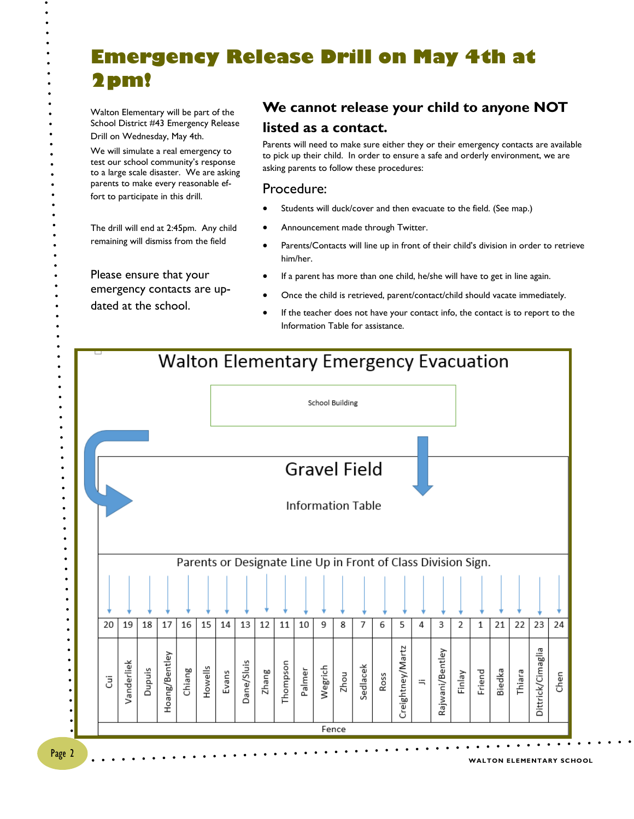#### **Emergency Release Drill on May 4th at 2pm!**

Walton Elementary will be part of the School District #43 Emergency Release Drill on Wednesday, May 4th.

We will simulate a real emergency to test our school community's response to a large scale disaster. We are asking parents to make every reasonable effort to participate in this drill.

The drill will end at 2:45pm. Any child remaining will dismiss from the field

Please ensure that your emergency contacts are updated at the school.

#### **We cannot release your child to anyone NOT listed as a contact.**

Parents will need to make sure either they or their emergency contacts are available to pick up their child. In order to ensure a safe and orderly environment, we are asking parents to follow these procedures:

#### Procedure:

- Students will duck/cover and then evacuate to the field. (See map.)
- Announcement made through Twitter.
- Parents/Contacts will line up in front of their child's division in order to retrieve him/her.
- If a parent has more than one child, he/she will have to get in line again.
- Once the child is retrieved, parent/contact/child should vacate immediately.
- If the teacher does not have your contact info, the contact is to report to the Information Table for assistance.



 $\bullet$ 

 $\bullet$  $\bullet$  $\ddot{\phantom{0}}$  $\bullet$  $\bullet$ 

> $\bullet$  $\bullet$  $\bullet$  $\bullet$

> > $\bullet$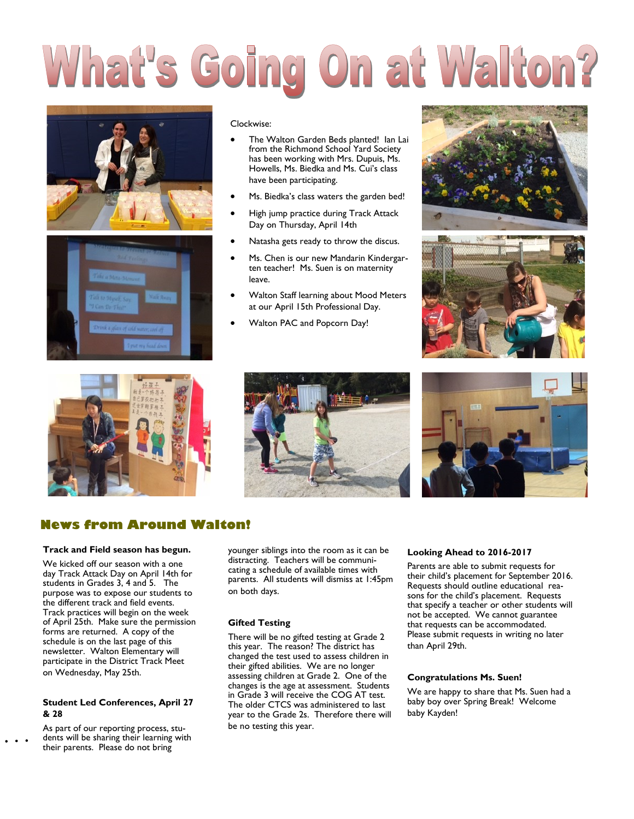## What's Going On at Walton?





#### Clockwise:

- The Walton Garden Beds planted! Ian Lai from the Richmond School Yard Society has been working with Mrs. Dupuis, Ms. Howells, Ms. Biedka and Ms. Cui's class have been participating.
- Ms. Biedka's class waters the garden bed!
- High jump practice during Track Attack Day on Thursday, April 14th
- Natasha gets ready to throw the discus.
- Ms. Chen is our new Mandarin Kindergarten teacher! Ms. Suen is on maternity leave.
- Walton Staff learning about Mood Meters at our April 15th Professional Day.
- Walton PAC and Popcorn Day!











#### **News from Around Walton!**

#### **Track and Field season has begun.**

We kicked off our season with a one day Track Attack Day on April 14th for students in Grades 3, 4 and 5. The purpose was to expose our students to the different track and field events. Track practices will begin on the week of April 25th. Make sure the permission forms are returned. A copy of the schedule is on the last page of this newsletter. Walton Elementary will participate in the District Track Meet on Wednesday, May 25th.

#### **Student Led Conferences, April 27 & 28**

As part of our reporting process, students will be sharing their learning with their parents. Please do not bring

younger siblings into the room as it can be distracting. Teachers will be communicating a schedule of available times with parents. All students will dismiss at 1:45pm on both days.

#### **Gifted Testing**

There will be no gifted testing at Grade 2 this year. The reason? The district has changed the test used to assess children in their gifted abilities. We are no longer assessing children at Grade 2. One of the changes is the age at assessment. Students in Grade 3 will receive the COG AT test. The older CTCS was administered to last year to the Grade 2s. Therefore there will be no testing this year.

#### **Looking Ahead to 2016-2017**

Parents are able to submit requests for their child's placement for September 2016. Requests should outline educational reasons for the child's placement. Requests that specify a teacher or other students will not be accepted. We cannot guarantee that requests can be accommodated. Please submit requests in writing no later than April 29th.

#### **Congratulations Ms. Suen!**

We are happy to share that Ms. Suen had a baby boy over Spring Break! Welcome baby Kayden!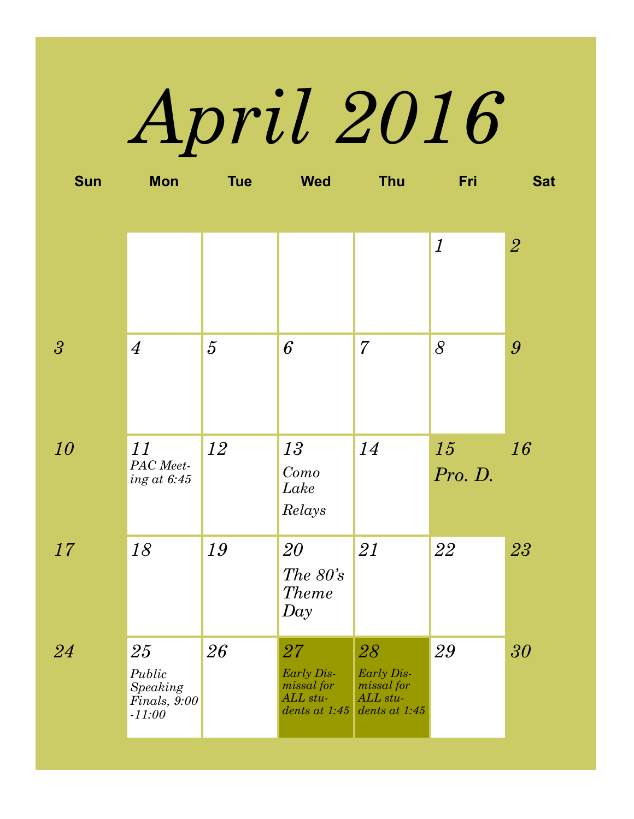## *April 2016*

| <b>Sun</b>               | <b>Mon</b>                 | <b>Tue</b>     | <b>Wed</b>                          | <b>Thu</b>                | Fri                       | <b>Sat</b>       |
|--------------------------|----------------------------|----------------|-------------------------------------|---------------------------|---------------------------|------------------|
|                          |                            |                |                                     |                           |                           |                  |
|                          |                            |                |                                     |                           | $\boldsymbol{\mathit{1}}$ | $\overline{2}$   |
|                          |                            |                |                                     |                           |                           |                  |
|                          |                            |                |                                     |                           |                           |                  |
| $\overline{\mathcal{S}}$ | $\overline{4}$             | $\overline{5}$ | $6\overline{6}$                     | 7                         | 8                         | $\boldsymbol{g}$ |
|                          |                            |                |                                     |                           |                           |                  |
|                          |                            |                |                                     |                           |                           |                  |
| 10                       | 11                         | 12             | 13                                  | 14                        | 15                        | 16               |
|                          | PAC Meet-<br>ing at $6:45$ |                | Como<br>Lake                        |                           | Pro. D.                   |                  |
|                          |                            |                | Relays                              |                           |                           |                  |
| 17                       | 18                         | 19             | 20                                  | 21                        | 22                        | 23               |
|                          |                            |                | The $80\textdegree$<br><b>Theme</b> |                           |                           |                  |
|                          |                            |                | Day                                 |                           |                           |                  |
| 24                       | 25                         | 26             | $27\,$                              | 28                        | 29                        | 30               |
|                          | Public<br>Speaking         |                | Early Dis-<br><i>missal</i> for     | Early Dis-<br>missal for  |                           |                  |
|                          | Finals, 9:00<br>$-11:00$   |                | ALL stu-<br>dents at 1:45           | ALL stu-<br>dents at 1:45 |                           |                  |
|                          |                            |                |                                     |                           |                           |                  |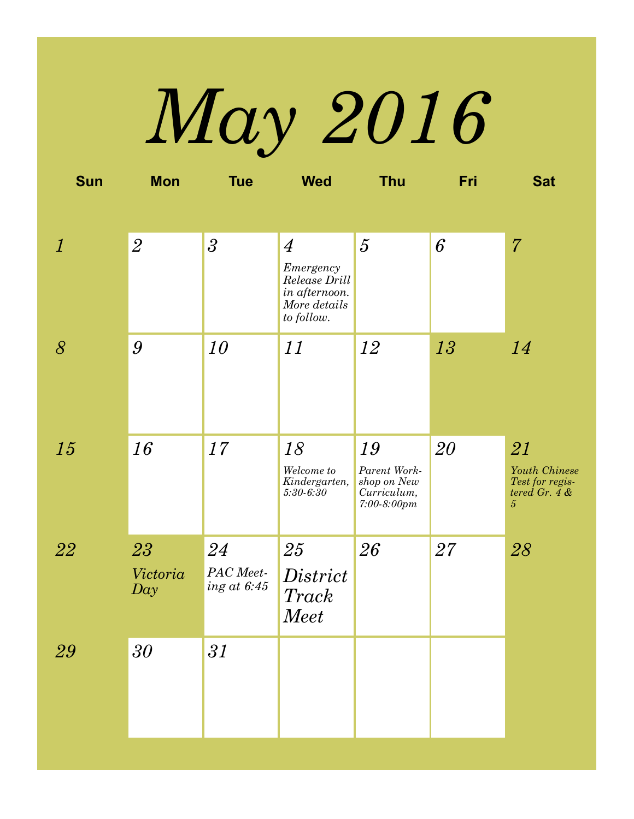# *May 2016*

| <b>Sun</b>                  | <b>Mon</b>            | <b>Tue</b>                         | <b>Wed</b>                                                                                  | <b>Thu</b>                                                        | Fri | <b>Sat</b>                                                              |
|-----------------------------|-----------------------|------------------------------------|---------------------------------------------------------------------------------------------|-------------------------------------------------------------------|-----|-------------------------------------------------------------------------|
|                             |                       |                                    |                                                                                             |                                                                   |     |                                                                         |
| $\mathcal{I}_{\mathcal{L}}$ | $\overline{2}$        | $\overline{\mathbf{3}}$            | $\overline{4}$<br>Emergency<br>Release Drill<br>in afternoon.<br>More details<br>to follow. | $\overline{5}$                                                    | 6   | $\overline{7}$                                                          |
| $\delta$                    | $\boldsymbol{9}$      | 10                                 | 11                                                                                          | 12                                                                | 13  | 14                                                                      |
| 15                          | 16                    | 17                                 | 18<br>Welcome to<br>Kindergarten,<br>$5:30 - 6:30$                                          | 19<br>Parent Work-<br>shop on New<br>Curriculum,<br>$7:00-8:00pm$ | 20  | 21<br>Youth Chinese<br>Test for regis-<br>tered Gr. $4 &$<br>$\sqrt{5}$ |
| 22                          | 23<br>Victoria<br>Day | 24<br>PAC Meet-<br>$ing\ at\ 6:45$ | 25<br>District<br><i>Track</i><br><b>Meet</b>                                               | 26                                                                | 27  | 28                                                                      |
| 29                          | 30                    | 31                                 |                                                                                             |                                                                   |     |                                                                         |
|                             |                       |                                    |                                                                                             |                                                                   |     |                                                                         |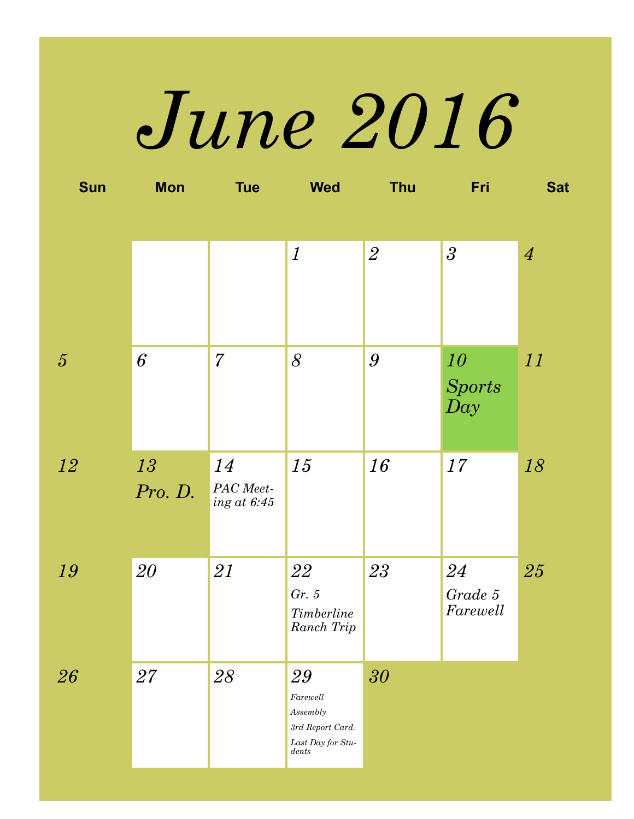# *June 2016*

| <b>Sun</b>     | <b>Mon</b> | <b>Tue</b>                 | <b>Wed</b>                                         | <b>Thu</b>       | Fri                               | <b>Sat</b>     |
|----------------|------------|----------------------------|----------------------------------------------------|------------------|-----------------------------------|----------------|
|                |            |                            |                                                    |                  |                                   |                |
|                |            |                            | $\boldsymbol{\mathit{1}}$                          | $\overline{2}$   | $\mathfrak{Z}$                    | $\overline{4}$ |
|                |            |                            |                                                    |                  |                                   |                |
|                |            |                            |                                                    |                  |                                   |                |
| $\overline{5}$ | 6          | $\overline{7}$             | $\delta$                                           | $\boldsymbol{g}$ | 10                                | 11             |
|                |            |                            |                                                    |                  | <b>Sports</b><br>$\overline{Day}$ |                |
|                |            |                            |                                                    |                  |                                   |                |
| 12             | 13         | 14                         | 15                                                 | 16               | 17                                | 18             |
|                | Pro. D.    | PAC Meet-<br>ing at $6:45$ |                                                    |                  |                                   |                |
|                |            |                            |                                                    |                  |                                   |                |
| 19             | 20         | 21                         | 22                                                 | 23               | 24                                | 25             |
|                |            |                            | Gr. 5<br>$\label{eq:3} Timeber line$               |                  | Grade 5<br>Farewell               |                |
|                |            |                            | Ranch Trip                                         |                  |                                   |                |
| 26             | 27         | ${\it 28}$                 | 29                                                 | 30               |                                   |                |
|                |            |                            | Farewell<br>$\label{thm:assem} As sembly$          |                  |                                   |                |
|                |            |                            | $3rd\ Report\ Card.$<br>Last Day for Stu-<br>dents |                  |                                   |                |
|                |            |                            |                                                    |                  |                                   |                |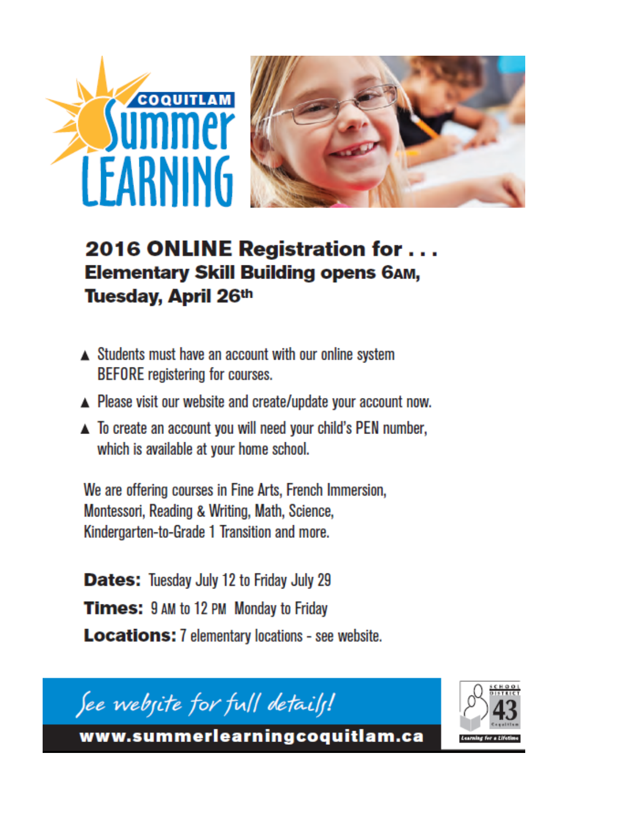

#### 2016 ONLINE Registration for ... **Elementary Skill Building opens 6AM,** Tuesday, April 26th

- ▲ Students must have an account with our online system **BEFORE** registering for courses.
- ▲ Please visit our website and create/update your account now.
- ▲ To create an account you will need your child's PEN number, which is available at your home school.

We are offering courses in Fine Arts, French Immersion, Montessori, Reading & Writing, Math, Science, Kindergarten-to-Grade 1 Transition and more.

**Dates:** Tuesday July 12 to Friday July 29 **Times:** 9 AM to 12 PM Monday to Friday **Locations:** 7 elementary locations - see website.

See webjite for full details!



www.summerlearningcoquitlam.ca